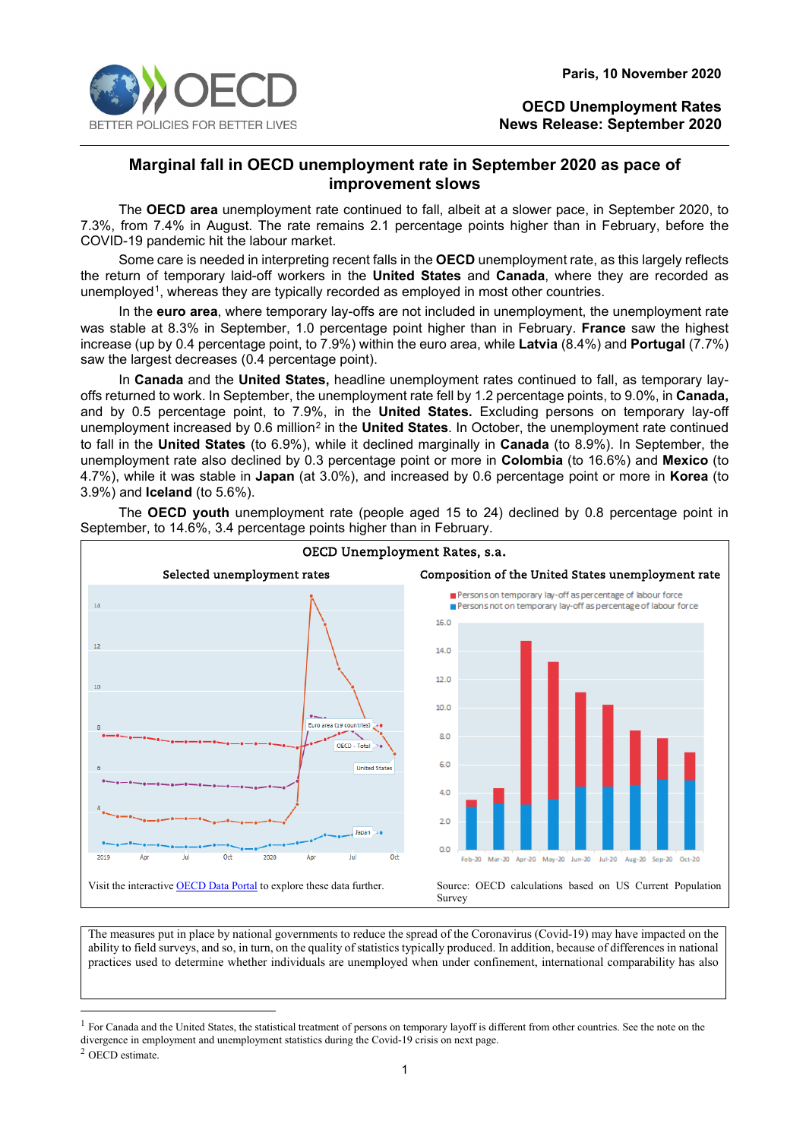

# **Marginal fall in OECD unemployment rate in September 2020 as pace of improvement slows**

The **OECD area** unemployment rate continued to fall, albeit at a slower pace, in September 2020, to 7.3%, from 7.4% in August. The rate remains 2.1 percentage points higher than in February, before the COVID-19 pandemic hit the labour market.

Some care is needed in interpreting recent falls in the **OECD** unemployment rate, as this largely reflects the return of temporary laid-off workers in the **United States** and **Canada**, where they are recorded as unemployed<sup>[1](#page-0-0)</sup>, whereas they are typically recorded as employed in most other countries.

In the **euro area**, where temporary lay-offs are not included in unemployment, the unemployment rate was stable at 8.3% in September, 1.0 percentage point higher than in February. **France** saw the highest increase (up by 0.4 percentage point, to 7.9%) within the euro area, while **Latvia** (8.4%) and **Portugal** (7.7%) saw the largest decreases (0.4 percentage point).

In **Canada** and the **United States,** headline unemployment rates continued to fall, as temporary layoffs returned to work. In September, the unemployment rate fell by 1.2 percentage points, to 9.0%, in **Canada,**  and by 0.5 percentage point, to 7.9%, in the **United States.** Excluding persons on temporary lay-off unemployment increased by 0.6 million<sup>[2](#page-0-1)</sup> in the **United States**. In October, the unemployment rate continued to fall in the **United States** (to 6.9%), while it declined marginally in **Canada** (to 8.9%). In September, the unemployment rate also declined by 0.3 percentage point or more in **Colombia** (to 16.6%) and **Mexico** (to 4.7%), while it was stable in **Japan** (at 3.0%), and increased by 0.6 percentage point or more in **Korea** (to 3.9%) and **Iceland** (to 5.6%).



The **OECD youth** unemployment rate (people aged 15 to 24) declined by 0.8 percentage point in September, to 14.6%, 3.4 percentage points higher than in February.

The measures put in place by national governments to reduce the spread of the Coronavirus (Covid-19) may have impacted on the ability to field surveys, and so, in turn, on the quality of statistics typically produced. In addition, because of differences in national practices used to determine whether individuals are unemployed when under confinement, international comparability has also

<span id="page-0-0"></span> $<sup>1</sup>$  For Canada and the United States, the statistical treatment of persons on temporary layoff is different from other countries. See the note on the</sup> divergence in employment and unemployment statistics during the Covid-19 crisis on next page.

<span id="page-0-1"></span><sup>2</sup> OECD estimate.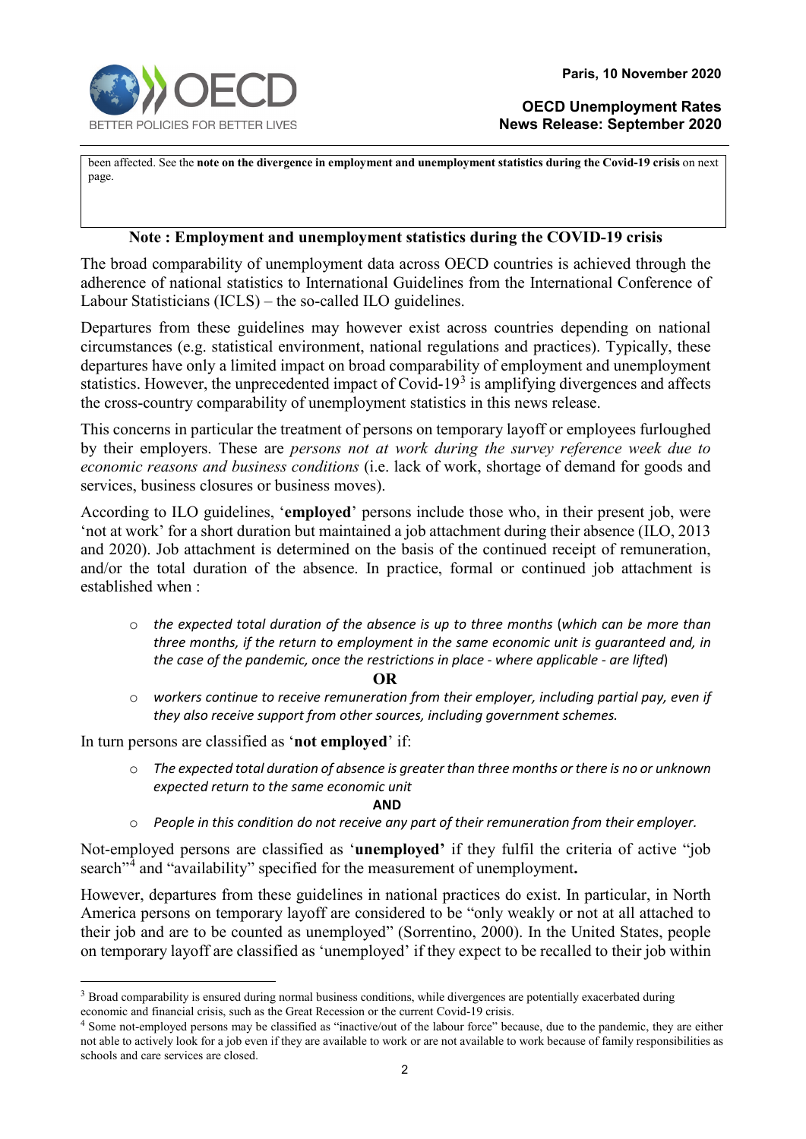been affected. See the **note on the divergence in employment and unemployment statistics during the Covid-19 crisis** on next page.

## **Note : Employment and unemployment statistics during the COVID-19 crisis**

The broad comparability of unemployment data across OECD countries is achieved through the adherence of national statistics to International Guidelines from the International Conference of Labour Statisticians (ICLS) – the so-called ILO guidelines.

Departures from these guidelines may however exist across countries depending on national circumstances (e.g. statistical environment, national regulations and practices). Typically, these departures have only a limited impact on broad comparability of employment and unemployment statistics. However, the unprecedented impact of Covid-19 $3$  is amplifying divergences and affects the cross-country comparability of unemployment statistics in this news release.

This concerns in particular the treatment of persons on temporary layoff or employees furloughed by their employers. These are *persons not at work during the survey reference week due to economic reasons and business conditions* (i.e. lack of work, shortage of demand for goods and services, business closures or business moves).

According to ILO guidelines, '**employed**' persons include those who, in their present job, were 'not at work' for a short duration but maintained a job attachment during their absence (ILO, 2013 and 2020). Job attachment is determined on the basis of the continued receipt of remuneration, and/or the total duration of the absence. In practice, formal or continued job attachment is established when :

o *the expected total duration of the absence is up to three months* (*which can be more than three months, if the return to employment in the same economic unit is guaranteed and, in the case of the pandemic, once the restrictions in place* - *where applicable - are lifted*)

### **OR**

o *workers continue to receive remuneration from their employer, including partial pay, even if they also receive support from other sources, including government schemes.*

In turn persons are classified as '**not employed**' if:

o *The expected total duration of absence is greater than three months or there is no or unknown expected return to the same economic unit* 

### **AND**

o *People in this condition do not receive any part of their remuneration from their employer.*

Not-employed persons are classified as '**unemployed'** if they fulfil the criteria of active "job search"[4](#page-1-1) and "availability" specified for the measurement of unemployment**.**

However, departures from these guidelines in national practices do exist. In particular, in North America persons on temporary layoff are considered to be "only weakly or not at all attached to their job and are to be counted as unemployed" (Sorrentino, 2000). In the United States, people on temporary layoff are classified as 'unemployed' if they expect to be recalled to their job within

<span id="page-1-0"></span><sup>&</sup>lt;sup>3</sup> Broad comparability is ensured during normal business conditions, while divergences are potentially exacerbated during economic and financial crisis, such as the Great Recession or the current Covid-19 crisis.

<span id="page-1-1"></span><sup>4</sup> Some not-employed persons may be classified as "inactive/out of the labour force" because, due to the pandemic, they are either not able to actively look for a job even if they are available to work or are not available to work because of family responsibilities as schools and care services are closed.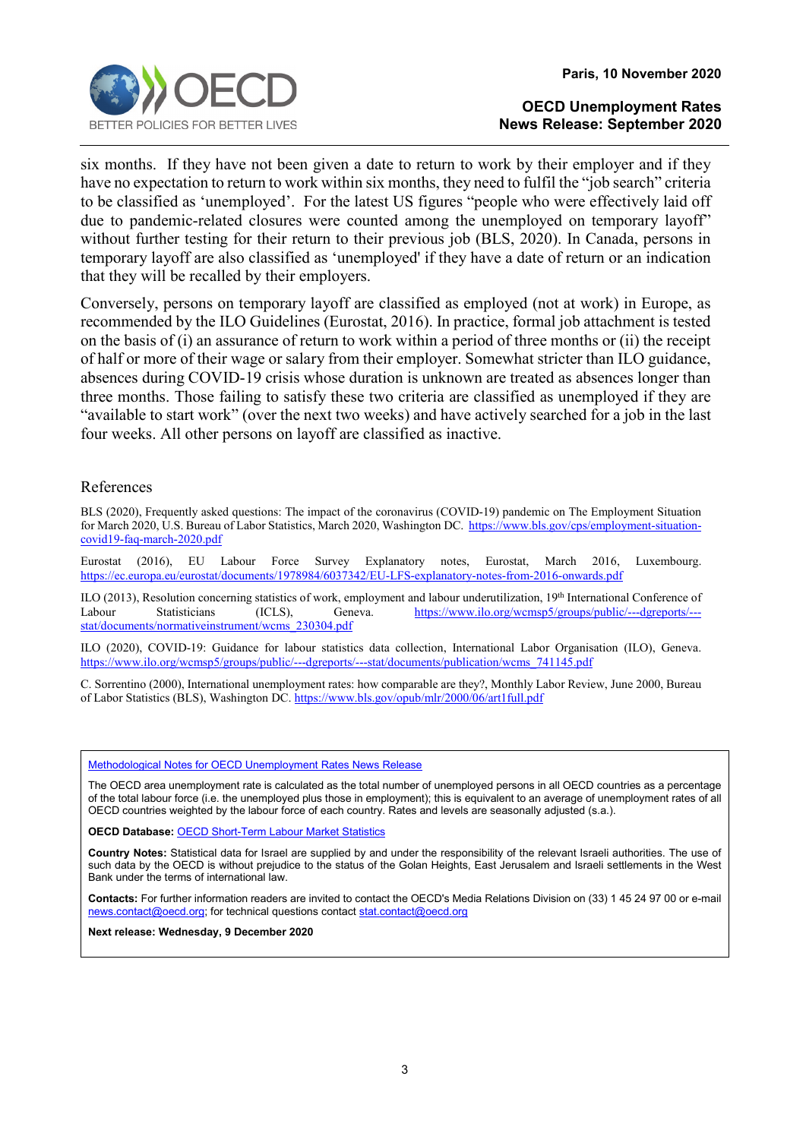

six months. If they have not been given a date to return to work by their employer and if they have no expectation to return to work within six months, they need to fulfil the "job search" criteria to be classified as 'unemployed'. For the latest US figures "people who were effectively laid off due to pandemic-related closures were counted among the unemployed on temporary layoff" without further testing for their return to their previous job (BLS, 2020). In Canada, persons in temporary layoff are also classified as 'unemployed' if they have a date of return or an indication that they will be recalled by their employers.

Conversely, persons on temporary layoff are classified as employed (not at work) in Europe, as recommended by the ILO Guidelines (Eurostat, 2016). In practice, formal job attachment is tested on the basis of (i) an assurance of return to work within a period of three months or (ii) the receipt of half or more of their wage or salary from their employer. Somewhat stricter than ILO guidance, absences during COVID-19 crisis whose duration is unknown are treated as absences longer than three months. Those failing to satisfy these two criteria are classified as unemployed if they are "available to start work" (over the next two weeks) and have actively searched for a job in the last four weeks. All other persons on layoff are classified as inactive.

## References

BLS (2020), Frequently asked questions: The impact of the coronavirus (COVID-19) pandemic on The Employment Situation for March 2020, U.S. Bureau of Labor Statistics, March 2020, Washington DC. [https://www.bls.gov/cps/employment-situation](https://www.bls.gov/cps/employment-situation-covid19-faq-march-2020.pdf)[covid19-faq-march-2020.pdf](https://www.bls.gov/cps/employment-situation-covid19-faq-march-2020.pdf)

Eurostat (2016), EU Labour Force Survey Explanatory notes, Eurostat, March 2016, Luxembourg. <https://ec.europa.eu/eurostat/documents/1978984/6037342/EU-LFS-explanatory-notes-from-2016-onwards.pdf>

ILO (2013), Resolution concerning statistics of work, employment and labour underutilization, 19<sup>th</sup> International Conference of Labour<br>Labour Statisticians (ICLS), Geneva. https://www.ilo.org/wcmsp5/groups/public/---dgrep [https://www.ilo.org/wcmsp5/groups/public/---dgreports/--](https://www.ilo.org/wcmsp5/groups/public/---dgreports/---stat/documents/normativeinstrument/wcms_230304.pdf) [stat/documents/normativeinstrument/wcms\\_230304.pdf](https://www.ilo.org/wcmsp5/groups/public/---dgreports/---stat/documents/normativeinstrument/wcms_230304.pdf)

ILO (2020), COVID-19: Guidance for labour statistics data collection, International Labor Organisation (ILO), Geneva. [https://www.ilo.org/wcmsp5/groups/public/---dgreports/---stat/documents/publication/wcms\\_741145.pdf](https://www.ilo.org/wcmsp5/groups/public/---dgreports/---stat/documents/publication/wcms_741145.pdf)

C. Sorrentino (2000), International unemployment rates: how comparable are they?, Monthly Labor Review, June 2000, Bureau of Labor Statistics (BLS), Washington DC[. https://www.bls.gov/opub/mlr/2000/06/art1full.pdf](https://www.bls.gov/opub/mlr/2000/06/art1full.pdf)

#### [Methodological Notes for OECD Unemployment Rates News Release](http://www.oecd.org/sdd/labour-stats/44743407.pdf)

The OECD area unemployment rate is calculated as the total number of unemployed persons in all OECD countries as a percentage of the total labour force (i.e. the unemployed plus those in employment); this is equivalent to an average of unemployment rates of all OECD countries weighted by the labour force of each country. Rates and levels are seasonally adjusted (s.a.).

**OECD Database:** [OECD Short-Term Labour Market Statistics](https://stats.oecd.org/index.aspx?queryid=36324)

**Country Notes:** Statistical data for Israel are supplied by and under the responsibility of the relevant Israeli authorities. The use of such data by the OECD is without prejudice to the status of the Golan Heights, East Jerusalem and Israeli settlements in the West Bank under the terms of international law.

**Contacts:** For further information readers are invited to contact the OECD's Media Relations Division on (33) 1 45 24 97 00 or e-mail [news.contact@oecd.org;](mailto:news.contact@oecd.org) for technical questions contact stat.contact@oecd.org

**Next release: Wednesday, 9 December 2020**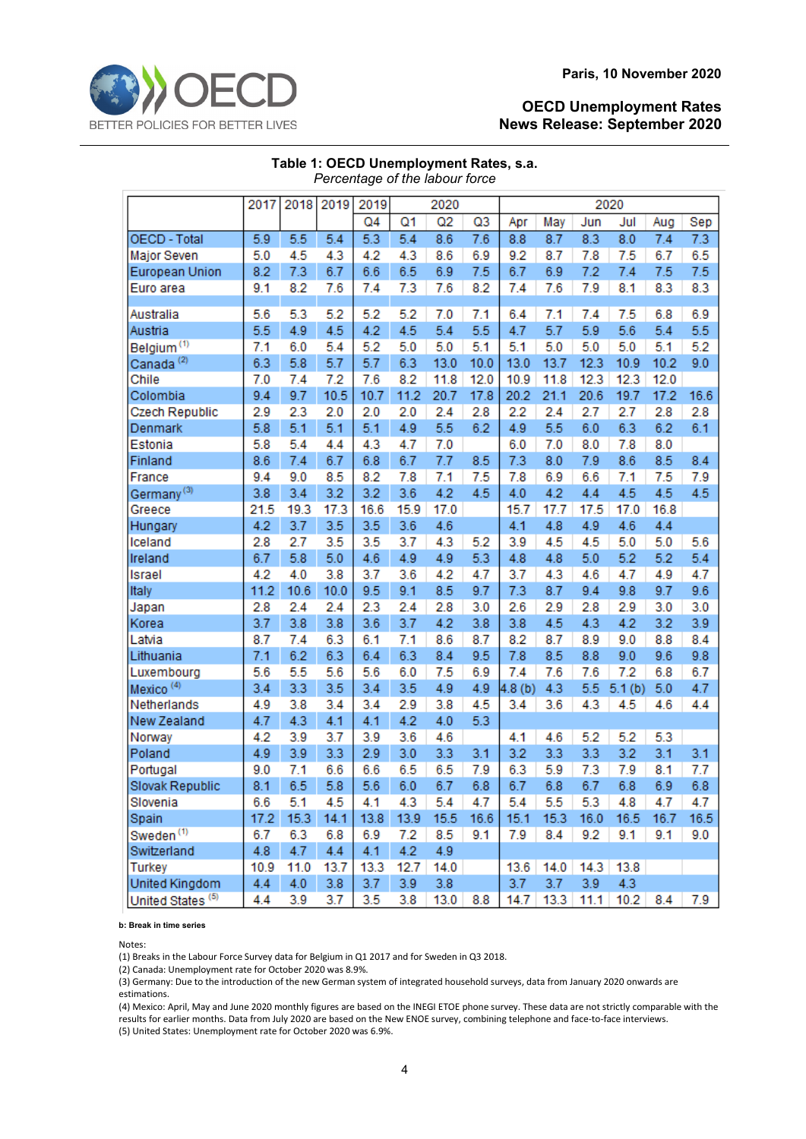

|                              | 2017 | 2018 | 2019 | 2019           |      | 2020 |      |                    |      |      | 2020   |      |      |
|------------------------------|------|------|------|----------------|------|------|------|--------------------|------|------|--------|------|------|
|                              |      |      |      | Q <sub>4</sub> | Q1   | Q2   | Q3   | Apr                | May  | Jun  | Jul    | Aug  | Sep  |
| <b>OECD - Total</b>          | 5.9  | 5.5  | 5.4  | 5.3            | 5.4  | 8.6  | 7.6  | 8.8                | 8.7  | 8.3  | 8.0    | 7.4  | 7.3  |
| Major Seven                  | 5.0  | 4.5  | 4.3  | 4.2            | 4.3  | 8.6  | 6.9  | 9.2                | 8.7  | 7.8  | 7.5    | 6.7  | 6.5  |
| European Union               | 8.2  | 7.3  | 6.7  | 6.6            | 6.5  | 6.9  | 7.5  | 6.7                | 6.9  | 7.2  | 7.4    | 7.5  | 7.5  |
| Euro area                    | 9.1  | 8.2  | 7.6  | 7.4            | 7.3  | 7.6  | 8.2  | 7.4                | 7.6  | 7.9  | 8.1    | 8.3  | 8.3  |
|                              |      |      |      |                |      |      |      |                    |      |      |        |      |      |
| Australia                    | 5.6  | 5.3  | 5.2  | 5.2            | 5.2  | 7.0  | 7.1  | 6.4                | 7.1  | 7.4  | 7.5    | 6.8  | 6.9  |
| Austria                      | 5.5  | 4.9  | 4.5  | 4.2            | 4.5  | 5.4  | 5.5  | 4.7                | 5.7  | 5.9  | 5.6    | 5.4  | 5.5  |
| Belgium <sup>(1)</sup>       | 7.1  | 6.0  | 5.4  | 5.2            | 5.0  | 5.0  | 5.1  | 5.1                | 5.0  | 5.0  | 5.0    | 5.1  | 5.2  |
| Canada <sup>(2)</sup>        | 6.3  | 5.8  | 5.7  | 5.7            | 6.3  | 13.0 | 10.0 | 13.0               | 13.7 | 12.3 | 10.9   | 10.2 | 9.0  |
| Chile                        | 7.0  | 7.4  | 7.2  | 7.6            | 8.2  | 11.8 | 12.0 | 10.9               | 11.8 | 12.3 | 12.3   | 12.0 |      |
| Colombia                     | 9.4  | 9.7  | 10.5 | 10.7           | 11.2 | 20.7 | 17.8 | 20.2               | 21.1 | 20.6 | 19.7   | 17.2 | 16.6 |
| Czech Republic               | 2.9  | 2.3  | 2.0  | 2.0            | 2.0  | 2.4  | 2.8  | 2.2                | 2.4  | 2.7  | 2.7    | 2.8  | 2.8  |
| Denmark                      | 5.8  | 5.1  | 5.1  | 5.1            | 4.9  | 5.5  | 6.2  | 4.9                | 5.5  | 6.0  | 6.3    | 6.2  | 6.1  |
| Estonia                      | 5.8  | 5.4  | 4.4  | 4.3            | 4.7  | 7.0  |      | 6.0                | 7.0  | 8.0  | 7.8    | 8.0  |      |
| Finland                      | 8.6  | 7.4  | 6.7  | 6.8            | 6.7  | 7.7  | 8.5  | 7.3                | 8.0  | 7.9  | 8.6    | 8.5  | 8.4  |
| France                       | 9.4  | 9.0  | 8.5  | 8.2            | 7.8  | 7.1  | 7.5  | 7.8                | 6.9  | 6.6  | 7.1    | 7.5  | 7.9  |
| Germany <sup>(3)</sup>       | 3.8  | 3.4  | 3.2  | 3.2            | 3.6  | 4.2  | 4.5  | 4.0                | 4.2  | 4.4  | 4.5    | 4.5  | 4.5  |
| Greece                       | 21.5 | 19.3 | 17.3 | 16.6           | 15.9 | 17.0 |      | 15.7               | 17.7 | 17.5 | 17.0   | 16.8 |      |
| Hungary                      | 4.2  | 3.7  | 3.5  | 3.5            | 3.6  | 4.6  |      | 4.1                | 4.8  | 4.9  | 4.6    | 4.4  |      |
| Iceland                      | 2.8  | 2.7  | 3.5  | 3.5            | 3.7  | 4.3  | 5.2  | 3.9                | 4.5  | 4.5  | 5.0    | 5.0  | 5.6  |
| Ireland                      | 6.7  | 5.8  | 5.0  | 4.6            | 4.9  | 4.9  | 5.3  | 4.8                | 4.8  | 5.0  | 5.2    | 5.2  | 5.4  |
| Israel                       | 4.2  | 4.0  | 3.8  | 3.7            | 3.6  | 4.2  | 4.7  | 3.7                | 4.3  | 4.6  | 4.7    | 4.9  | 4.7  |
| Italy                        | 11.2 | 10.6 | 10.0 | 9.5            | 9.1  | 8.5  | 9.7  | 7.3                | 8.7  | 9.4  | 9.8    | 9.7  | 9.6  |
| Japan                        | 2.8  | 2.4  | 2.4  | 2.3            | 2.4  | 2.8  | 3.0  | 2.6                | 2.9  | 2.8  | 2.9    | 3.0  | 3.0  |
| Korea                        | 3.7  | 3.8  | 3.8  | 3.6            | 3.7  | 4.2  | 3.8  | 3.8                | 4.5  | 4.3  | 4.2    | 3.2  | 3.9  |
| Latvia                       | 8.7  | 7.4  | 6.3  | 6.1            | 7.1  | 8.6  | 8.7  | 8.2                | 8.7  | 8.9  | 9.0    | 8.8  | 8.4  |
| Lithuania                    | 7.1  | 6.2  | 6.3  | 6.4            | 6.3  | 8.4  | 9.5  | 7.8                | 8.5  | 8.8  | 9.0    | 9.6  | 9.8  |
| Luxembourg                   | 5.6  | 5.5  | 5.6  | 5.6            | 6.0  | 7.5  | 6.9  | 7.4                | 7.6  | 7.6  | 7.2    | 6.8  | 6.7  |
| Mexico <sup>(4)</sup>        | 3.4  | 3.3  | 3.5  | 3.4            | 3.5  | 4.9  | 4.9  | 4.8 <sub>(b)</sub> | 4.3  | 5.5  | 5.1(b) | 5.0  | 4.7  |
| Netherlands                  | 4.9  | 3.8  | 3.4  | 3.4            | 2.9  | 3.8  | 4.5  | 3.4                | 3.6  | 4.3  | 4.5    | 4.6  | 4.4  |
| New Zealand                  | 4.7  | 4.3  | 4.1  | 4.1            | 4.2  | 4.0  | 5.3  |                    |      |      |        |      |      |
| Norway                       | 4.2  | 3.9  | 3.7  | 3.9            | 3.6  | 4.6  |      | 4.1                | 4.6  | 5.2  | 5.2    | 5.3  |      |
| Poland                       | 4.9  | 3.9  | 3.3  | 2.9            | 3.0  | 3.3  | 3.1  | 3.2                | 3.3  | 3.3  | 3.2    | 3.1  | 3.1  |
| Portugal                     | 9.0  | 7.1  | 6.6  | 6.6            | 6.5  | 6.5  | 7.9  | 6.3                | 5.9  | 7.3  | 7.9    | 8.1  | 7.7  |
| Slovak Republic              | 8.1  | 6.5  | 5.8  | 5.6            | 6.0  | 6.7  | 6.8  | 6.7                | 6.8  | 6.7  | 6.8    | 6.9  | 6.8  |
| Slovenia                     | 6.6  | 5.1  | 4.5  | 4.1            | 4.3  | 5.4  | 4.7  | 5.4                | 5.5  | 5.3  | 4.8    | 4.7  | 4.7  |
| Spain                        | 17.2 | 15.3 | 14.1 | 13.8           | 13.9 | 15.5 | 16.6 | 15.1               | 15.3 | 16.0 | 16.5   | 16.7 | 16.5 |
| Sweden <sup>(1)</sup>        | 6.7  | 6.3  | 6.8  | 6.9            | 7.2  | 8.5  | 9.1  | 7.9                | 8.4  | 9.2  | 9.1    | 9.1  | 9.0  |
| Switzerland                  | 4.8  | 4.7  | 4.4  | 4.1            | 4.2  | 4.9  |      |                    |      |      |        |      |      |
| <b>Turkey</b>                | 10.9 | 11.0 | 13.7 | 13.3           | 12.7 | 14.0 |      | 13.6               | 14.0 | 14.3 | 13.8   |      |      |
| United Kingdom               | 4.4  | 4.0  | 3.8  | 3.7            | 3.9  | 3.8  |      | 3.7                | 3.7  | 3.9  | 4.3    |      |      |
| United States <sup>(5)</sup> | 4.4  | 3.9  | 3.7  | 3.5            | 3.8  | 13.0 | 8.8  | 14.7               | 13.3 | 11.1 | 10.2   | 8.4  | 7.9  |

| Table 1: OECD Unemployment Rates, s.a. |  |
|----------------------------------------|--|
| Percentage of the labour force         |  |

**b: Break in time series**

Notes:

(1) Breaks in the Labour Force Survey data for Belgium in Q1 2017 and for Sweden in Q3 2018.

(2) Canada: Unemployment rate for October 2020 was 8.9%.

(3) Germany: Due to the introduction of the new German system of integrated household surveys, data from January 2020 onwards are estimations.

(4) Mexico: April, May and June 2020 monthly figures are based on the INEGI ETOE phone survey. These data are not strictly comparable with the results for earlier months. Data from July 2020 are based on the New ENOE survey, combining telephone and face-to-face interviews. (5) United States: Unemployment rate for October 2020 was 6.9%.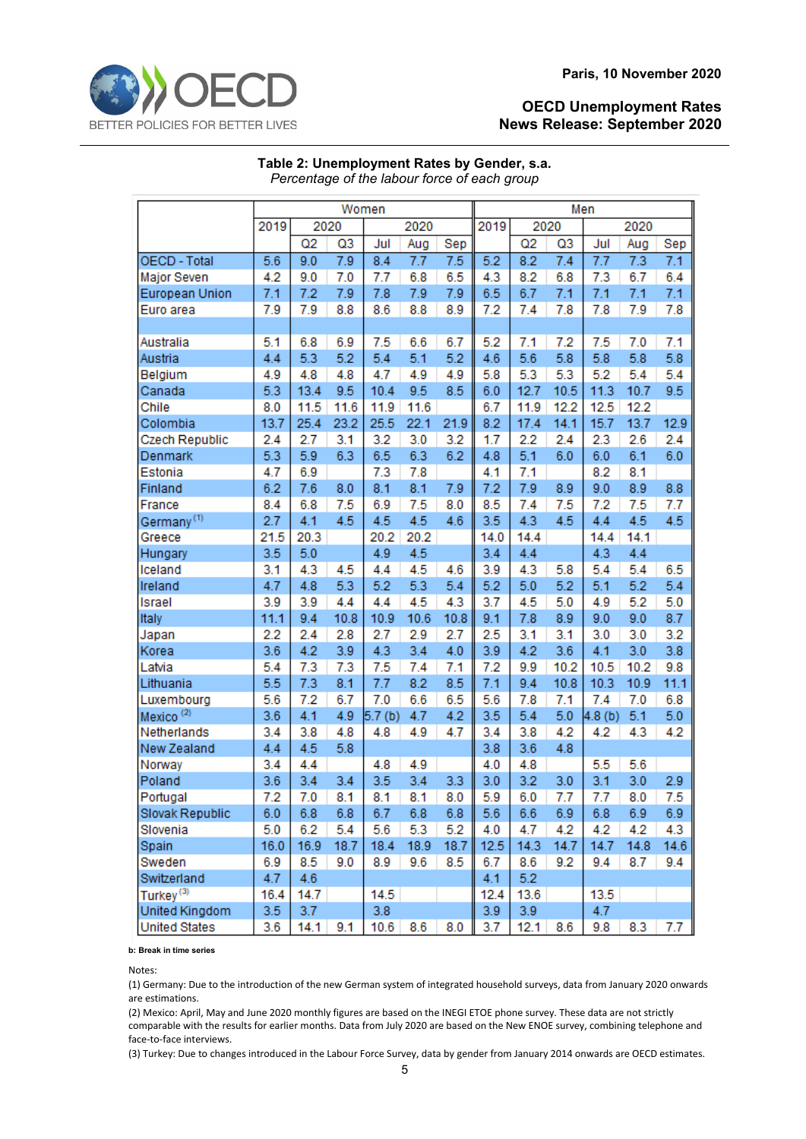|                        | Women            |            |                       |                    |            |            | Men  |                  |           |                  |            |            |  |
|------------------------|------------------|------------|-----------------------|--------------------|------------|------------|------|------------------|-----------|------------------|------------|------------|--|
|                        |                  |            |                       |                    |            |            |      | 2020             |           |                  |            |            |  |
|                        | 2019             |            | 2020                  |                    | 2020       |            | 2019 |                  |           |                  | 2020       |            |  |
| OECD - Total           | 5.6              | Q2<br>9.0  | Q <sub>3</sub><br>7.9 | Jul<br>8.4         | Aug<br>7.7 | Sep<br>7.5 | 5.2  | Q2<br>8.2        | Q3<br>7.4 | Jul<br>7.7       | Aug<br>7.3 | Sep<br>7.1 |  |
|                        |                  |            |                       |                    |            |            |      |                  |           |                  |            |            |  |
| Major Seven            | 4.2              | 9.0        | 7.0                   | 7.7                | 6.8        | 6.5        | 4.3  | 8.2              | 6.8       | 7.3              | 6.7        | 6.4        |  |
| European Union         | 7.1              | 7.2        | 7.9                   | 7.8                | 7.9        | 7.9        | 6.5  | 6.7              | 7.1       | 7.1              | 7.1        | 7.1        |  |
| Euro area              | 7.9              | 7.9        | 8.8                   | 8.6                | 8.8        | 8.9        | 7.2  | 7.4              | 7.8       | 7.8              | 7.9        | 7.8        |  |
|                        |                  |            |                       |                    |            |            |      |                  |           |                  |            |            |  |
| Australia              | 5.1              | 6.8        | 6.9                   | 7.5                | 6.6        | 6.7        | 5.2  | 7.1              | 7.2       | 7.5              | 7.0        | 7.1        |  |
| Austria                | 4.4              | 5.3        | 5.2                   | 5.4                | 5.1        | 5.2        | 4.6  | 5.6              | 5.8       | 5.8              | 5.8        | 5.8        |  |
| Belgium                | 4.9              | 4.8        | 4.8                   | 4.7                | 4.9        | 4.9        | 5.8  | 5.3              | 5.3       | 5.2              | 5.4        | 5.4        |  |
| Canada                 | 5.3              | 13.4       | 9.5                   | 10.4               | 9.5        | 8.5        | 6.0  | 12.7             | 10.5      | 11.3             | 10.7       | 9.5        |  |
| Chile                  | 8.0              | 11.5       | 11.6                  | 11.9               | 11.6       |            | 6.7  | 11.9             | 12.2      | 12.5             | 12.2       |            |  |
| Colombia               | 13.7             | 25.4       | 23.2                  | 25.5               | 22.1       | 21.9       | 8.2  | 17.4             | 14.1      | 15.7             | 13.7       | 12.9       |  |
| Czech Republic         | 2.4              | 2.7        | 3.1                   | 3.2                | 3.0        | 3.2        | 1.7  | 2.2              | 2.4       | 2.3              | 2.6        | 2.4        |  |
| Denmark                | 5.3              | 5.9        | 6.3                   | 6.5                | 6.3        | 6.2        | 4.8  | 5.1              | 6.0       | 6.0              | 6.1        | 6.0        |  |
| Estonia                | 4.7              | 6.9        |                       | 7.3                | 7.8        |            | 4.1  | 7.1              |           | 8.2              | 8.1        |            |  |
| Finland                | 6.2              | 7.6        | 8.0                   | 8.1                | 8.1        | 7.9        | 7.2  | 7.9              | 8.9       | 9.0              | 8.9        | 8.8        |  |
| France                 | 8.4              | 6.8        | 7.5                   | 6.9                | 7.5        | 8.0        | 8.5  | 7.4              | 7.5       | 7.2              | 7.5        | 7.7        |  |
| Germany <sup>(1)</sup> | 2.7              | 4.1        | 4.5                   | 4.5                | 4.5        | 4.6        | 3.5  | 4.3              | 4.5       | 4.4              | 4.5        | 4.5        |  |
| Greece                 | 21.5             | 20.3       |                       | 20.2               | 20.2       |            | 14.0 | 14.4             |           | 14.4             | 14.1       |            |  |
| Hungary                | 3.5              | 5.0        |                       | 4.9                | 4.5        |            | 3.4  | 4.4              |           | 4.3              | 4.4        |            |  |
| Iceland                | 3.1              | 4.3        | 4.5                   | 4.4                | 4.5        | 4.6        | 3.9  | 4.3              | 5.8       | 5.4              | 5.4        | 6.5        |  |
| Ireland                | 4.7              | 4.8        | 5.3                   | 5.2                | 5.3        | 5.4        | 5.2  | 5.0              | 5.2       | 5.1              | 5.2        | 5.4        |  |
| Israel                 | 3.9              | 3.9        | 4.4                   | 4.4                | 4.5        | 4.3        | 3.7  | 4.5              | 5.0       | 4.9              | 5.2        | 5.0        |  |
| Italy                  | 11.1             | 9.4        | 10.8                  | 10.9               | 10.6       | 10.8       | 9.1  | 7.8              | 8.9       | 9.0              | 9.0        | 8.7        |  |
| Japan                  | 2.2              | 2.4        | 2.8                   | 2.7                | 2.9        | 2.7        | 2.5  | 3.1              | 3.1       | 3.0              | 3.0        | 3.2        |  |
| Korea                  | 3.6              | 4.2        | 3.9                   | 4.3                | 3.4        | 4.0        | 3.9  | 4.2              | 3.6       | 4.1              | 3.0        | 3.8        |  |
| Latvia                 | 5.4              | 7.3        | 7.3                   | 7.5                | 7.4        | 7.1        | 7.2  | 9.9              | 10.2      | 10.5             | 10.2       | 9.8        |  |
| Lithuania              | 5.5              | 7.3        | 8.1                   | 7.7                | 8.2        | 8.5        | 7.1  | 9.4              | 10.8      | 10.3             | 10.9       | 11.1       |  |
| Luxembourg             | 5.6              | 7.2        | 6.7                   | 7.0                | 6.6        | 6.5        | 5.6  | 7.8              | 7.1       | 7.4              | 7.0        | 6.8        |  |
| Mexico <sup>(2)</sup>  | 3.6              | 4.1        | 4.9                   | 5.7 <sub>(b)</sub> | 4.7        | 4.2        | 3.5  | 5.4              | 5.0       | 4.8(b)           | 5.1        | 5.0        |  |
| Netherlands            | 3.4              | 3.8        | 4.8                   | 4.8                | 4.9        | 4.7        | 3.4  | 3.8              | 4.2       | 4.2              | 4.3        | 4.2        |  |
| New Zealand            | 4.4              | 4.5        | 5.8                   |                    |            |            | 3.8  | 3.6              | 4.8       |                  |            |            |  |
| Norway                 | 3.4              | 4.4        |                       | 4.8                | 4.9        |            | 4.0  | 4.8              |           | 5.5              | 5.6        |            |  |
| Poland                 | 3.6              | 3.4        | 3.4                   | 3.5                | 3.4        | 3.3        | 3.0  | 3.2              | 3.0       | 3.1              | 3.0        | 2.9        |  |
| Portugal               | 7.2              | 7.0        | 8.1                   | 8.1                | 8.1        | 8.0        | 5.9  | 6.0              | 7.7       | 7.7 <sub>2</sub> | 8.0        | 7.5        |  |
| Slovak Republic        | 6.0              | 6.8        | 6.8                   | 6.7                | 6.8        | 6.8        | 5.6  | 6.6              | 6.9       | 6.8              | 6.9        | 6.9        |  |
| Slovenia               | 5.0              | 6.2        | 5.4                   | 5.6                | 5.3        | 5.2        | 4.0  | 4.7              | 4.2       | 4.2              | 4.2        | 4.3        |  |
| Spain                  | 16.0             | 16.9       | 18.7                  | 18.4               | 18.9       | 18.7       | 12.5 | 14.3             | 14.7      | 14.7             | 14.8       | 14.6       |  |
| Sweden                 | 6.9              | 8.5        | 9.0                   | 8.9                | 9.6        | 8.5        | 6.7  | 8.6              | 9.2       | 9.4              | 8.7        | 9.4        |  |
| Switzerland            | 4.7              | 4.6        |                       |                    |            |            | 4.1  | 5.2              |           |                  |            |            |  |
| Turkey <sup>(3)</sup>  | 16.4             | 14.7       |                       | 14.5               |            |            | 12.4 | 13.6             |           | 13.5             |            |            |  |
| United Kingdom         | 3.5 <sub>2</sub> | 3.7        |                       | 3.8                |            |            | 3.9  | 3.9              |           | 4.7              |            |            |  |
| <b>United States</b>   | 3.6              | $14.1$ 9.1 |                       | $10.6$ 8.6         |            | 8.0        | 3.7  | $12.1 \quad 8.6$ |           | 9.8              | 8.3        | 7.7        |  |

**Table 2: Unemployment Rates by Gender, s.a.** *Percentage of the labour force of each group*

**b: Break in time series**

Notes:

(1) Germany: Due to the introduction of the new German system of integrated household surveys, data from January 2020 onwards are estimations.

(2) Mexico: April, May and June 2020 monthly figures are based on the INEGI ETOE phone survey. These data are not strictly comparable with the results for earlier months. Data from July 2020 are based on the New ENOE survey, combining telephone and face-to-face interviews.

(3) Turkey: Due to changes introduced in the Labour Force Survey, data by gender from January 2014 onwards are OECD estimates.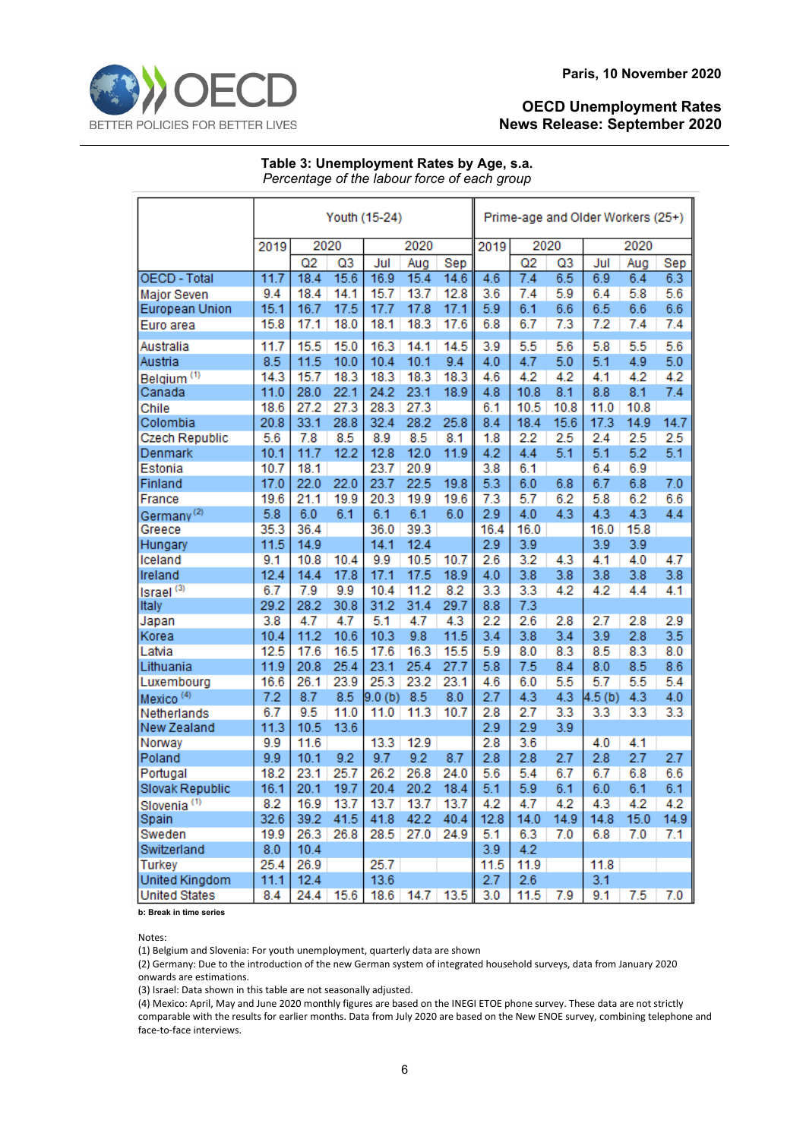

## **Table 3: Unemployment Rates by Age, s.a.** *Percentage of the labour force of each group*

|                         | Youth (15-24) |                              |      |        |      |      |      | Prime-age and Older Workers (25+) |      |        |      |      |  |
|-------------------------|---------------|------------------------------|------|--------|------|------|------|-----------------------------------|------|--------|------|------|--|
|                         | 2019          | 2020<br>2020<br>2020<br>2019 |      |        |      |      |      |                                   |      |        |      |      |  |
|                         |               | Q2                           | Q3   | Jul    | Aug  | Sep  |      | Q2                                | Q3   | Jul    | Aug  | Sep  |  |
| <b>OECD - Total</b>     | 11.7          | 18.4                         | 15.6 | 16.9   | 15.4 | 14.6 | 4.6  | 7.4                               | 6.5  | 6.9    | 6.4  | 6.3  |  |
| Major Seven             | 9.4           | 18.4                         | 14.1 | 15.7   | 13.7 | 12.8 | 3.6  | 7.4                               | 5.9  | 6.4    | 5.8  | 5.6  |  |
| European Union          | 15.1          | 16.7                         | 17.5 | 17.7   | 17.8 | 17.1 | 5.9  | 6.1                               | 6.6  | 6.5    | 6.6  | 6.6  |  |
| Euro area               | 15.8          | 17.1                         | 18.0 | 18.1   | 18.3 | 17.6 | 6.8  | 6.7                               | 7.3  | 7.2    | 7.4  | 7.4  |  |
| Australia               | 11.7          | 15.5                         | 15.0 | 16.3   | 14.1 | 14.5 | 3.9  | 5.5                               | 5.6  | 5.8    | 5.5  | 5.6  |  |
| Austria                 | 8.5           | 11.5                         | 10.0 | 10.4   | 10.1 | 9.4  | 4.0  | 4.7                               | 5.0  | 5.1    | 4.9  | 5.0  |  |
| Belgium <sup>(1)</sup>  | 14.3          | 15.7                         | 18.3 | 18.3   | 18.3 | 18.3 | 4.6  | 4.2                               | 4.2  | 4.1    | 4.2  | 4.2  |  |
| Canada                  | 11.0          | 28.0                         | 22.1 | 24.2   | 23.1 | 18.9 | 4.8  | 10.8                              | 8.1  | 8.8    | 8.1  | 7.4  |  |
| Chile                   | 18.6          | 27.2                         | 27.3 | 28.3   | 27.3 |      | 6.1  | 10.5                              | 10.8 | 11.0   | 10.8 |      |  |
| Colombia                | 20.8          | 33.1                         | 28.8 | 32.4   | 28.2 | 25.8 | 8.4  | 18.4                              | 15.6 | 17.3   | 14.9 | 14.7 |  |
| Czech Republic          | 5.6           | 7.8                          | 8.5  | 8.9    | 8.5  | 8.1  | 1.8  | 2.2                               | 2.5  | 2.4    | 2.5  | 2.5  |  |
| Denmark                 | 10.1          | 11.7                         | 12.2 | 12.8   | 12.0 | 11.9 | 4.2  | 4.4                               | 5.1  | 5.1    | 5.2  | 5.1  |  |
| Estonia                 | 10.7          | 18.1                         |      | 23.7   | 20.9 |      | 3.8  | 6.1                               |      | 6.4    | 6.9  |      |  |
| Finland                 | 17.0          | 22.0                         | 22.0 | 23.7   | 22.5 | 19.8 | 5.3  | 6.0                               | 6.8  | 6.7    | 6.8  | 7.0  |  |
| France                  | 19.6          | 21.1                         | 19.9 | 20.3   | 19.9 | 19.6 | 7.3  | 5.7                               | 6.2  | 5.8    | 6.2  | 6.6  |  |
| Germany <sup>(2)</sup>  | 5.8           | 6.0                          | 6.1  | 6.1    | 6.1  | 6.0  | 2.9  | 4.0                               | 4.3  | 4.3    | 4.3  | 4.4  |  |
| Greece                  | 35.3          | 36.4                         |      | 36.0   | 39.3 |      | 16.4 | 16.0                              |      | 16.0   | 15.8 |      |  |
| Hungary                 | 11.5          | 14.9                         |      | 14.1   | 12.4 |      | 2.9  | 3.9                               |      | 3.9    | 3.9  |      |  |
| Iceland                 | 9.1           | 10.8                         | 10.4 | 9.9    | 10.5 | 10.7 | 2.6  | 3.2                               | 4.3  | 4.1    | 4.0  | 4.7  |  |
| Ireland                 | 12.4          | 14.4                         | 17.8 | 17.1   | 17.5 | 18.9 | 4.0  | 3.8                               | 3.8  | 3.8    | 3.8  | 3.8  |  |
| Israel <sup>(3)</sup>   | 6.7           | 7.9                          | 9.9  | 10.4   | 11.2 | 8.2  | 3.3  | 3.3                               | 4.2  | 4.2    | 4.4  | 4.1  |  |
| Italy                   | 29.2          | 28.2                         | 30.8 | 31.2   | 31.4 | 29.7 | 8.8  | 7.3                               |      |        |      |      |  |
| Japan                   | 3.8           | 4.7                          | 4.7  | 5.1    | 4.7  | 4.3  | 2.2  | 2.6                               | 2.8  | 2.7    | 2.8  | 2.9  |  |
| Korea                   | 10.4          | 11.2                         | 10.6 | 10.3   | 9.8  | 11.5 | 3.4  | 3.8                               | 3.4  | 3.9    | 2.8  | 3.5  |  |
| Latvia                  | 12.5          | 17.6                         | 16.5 | 17.6   | 16.3 | 15.5 | 5.9  | 8.0                               | 8.3  | 8.5    | 8.3  | 8.0  |  |
| Lithuania               | 11.9          | 20.8                         | 25.4 | 23.1   | 25.4 | 27.7 | 5.8  | 7.5                               | 8.4  | 8.0    | 8.5  | 8.6  |  |
| Luxembourg              | 16.6          | 26.1                         | 23.9 | 25.3   | 23.2 | 23.1 | 4.6  | 6.0                               | 5.5  | 5.7    | 5.5  | 5.4  |  |
| Mexico <sup>(4)</sup>   | 7.2           | 8.7                          | 8.5  | 9.0(b) | 8.5  | 8.0  | 2.7  | 4.3                               | 4.3  | 4.5(b) | 4.3  | 4.0  |  |
| Netherlands             | 6.7           | 9.5                          | 11.0 | 11.0   | 11.3 | 10.7 | 2.8  | 2.7                               | 3.3  | 3.3    | 3.3  | 3.3  |  |
| New Zealand             | 11.3          | 10.5                         | 13.6 |        |      |      | 2.9  | 2.9                               | 3.9  |        |      |      |  |
| Norway                  | 9.9           | 11.6                         |      | 13.3   | 12.9 |      | 2.8  | 3.6                               |      | 4.0    | 4.1  |      |  |
| Poland                  | 9.9           | 10.1                         | 9.2  | 9.7    | 9.2  | 8.7  | 2.8  | 2.8                               | 2.7  | 2.8    | 2.7  | 2.7  |  |
| Portugal                | 18.2          | 23.1                         | 25.7 | 26.2   | 26.8 | 24.0 | 5.6  | 5.4                               | 6.7  | 6.7    | 6.8  | 6.6  |  |
| Slovak Republic         | 16.1          | 20.1                         | 19.7 | 20.4   | 20.2 | 18.4 | 5.1  | 5.9                               | 6.1  | 6.0    | 6.1  | 6.1  |  |
| Slovenia <sup>(1)</sup> | 8.2           | 16.9                         | 13.7 | 13.7   | 13.7 | 13.7 | 4.2  | 4.7                               | 4.2  | 4.3    | 4.2  | 4.2  |  |
| Spain                   | 32.6          | 39.2                         | 41.5 | 41.8   | 42.2 | 40.4 | 12.8 | 14.0                              | 14.9 | 14.8   | 15.0 | 14.9 |  |
| Sweden                  | 19.9          | 26.3                         | 26.8 | 28.5   | 27.0 | 24.9 | 5.1  | 6.3                               | 7.0  | 6.8    | 7.0  | 7.1  |  |
| Switzerland             | 8.0           | 10.4                         |      |        |      |      | 3.9  | 4.2                               |      |        |      |      |  |
| Turkey                  | 25.4          | 26.9                         |      | 25.7   |      |      | 11.5 | 11.9                              |      | 11.8   |      |      |  |
| United Kingdom          | 11.1          | 12.4                         |      | 13.6   |      |      | 2.7  | 2.6                               |      | 3.1    |      |      |  |
| <b>United States</b>    | 8.4           | 24.4                         | 15.6 | 18.6   | 14.7 | 13.5 | 3.0  | 11.5                              | 7.9  | 9.1    | 7.5  | 7.0  |  |

**b: Break in time series**

Notes:

(1) Belgium and Slovenia: For youth unemployment, quarterly data are shown

(2) Germany: Due to the introduction of the new German system of integrated household surveys, data from January 2020 onwards are estimations.

(3) Israel: Data shown in this table are not seasonally adjusted.

(4) Mexico: April, May and June 2020 monthly figures are based on the INEGI ETOE phone survey. These data are not strictly comparable with the results for earlier months. Data from July 2020 are based on the New ENOE survey, combining telephone and face-to-face interviews.